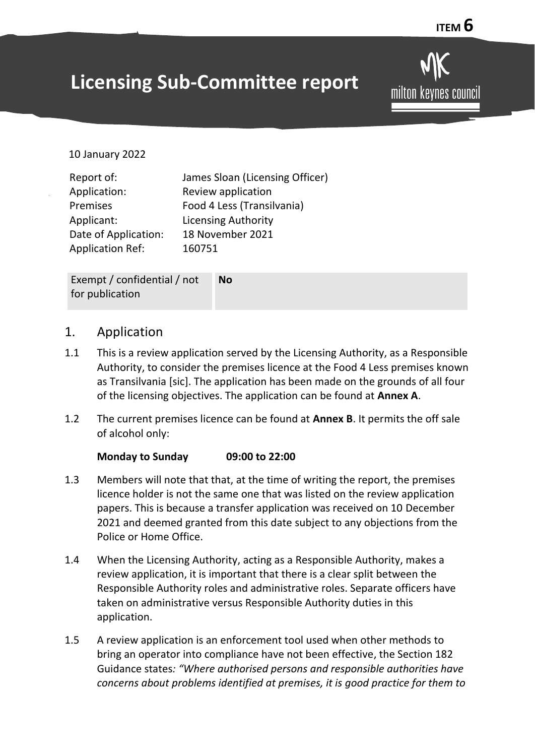# **Licensing Sub-Committee report**

milton kevnes council

10 January 2022

Exempt / confidential / not for publication **No**

#### 1. Application

- 1.1 This is a review application served by the Licensing Authority, as a Responsible Authority, to consider the premises licence at the Food 4 Less premises known as Transilvania [sic]. The application has been made on the grounds of all four of the licensing objectives. The application can be found at **Annex A**.
- 1.2 The current premises licence can be found at **Annex B**. It permits the off sale of alcohol only:

#### **Monday to Sunday 09:00 to 22:00**

- 1.3 Members will note that that, at the time of writing the report, the premises licence holder is not the same one that was listed on the review application papers. This is because a transfer application was received on 10 December 2021 and deemed granted from this date subject to any objections from the Police or Home Office.
- 1.4 When the Licensing Authority, acting as a Responsible Authority, makes a review application, it is important that there is a clear split between the Responsible Authority roles and administrative roles. Separate officers have taken on administrative versus Responsible Authority duties in this application.
- 1.5 A review application is an enforcement tool used when other methods to bring an operator into compliance have not been effective, the Section 182 Guidance states*: "Where authorised persons and responsible authorities have concerns about problems identified at premises, it is good practice for them to*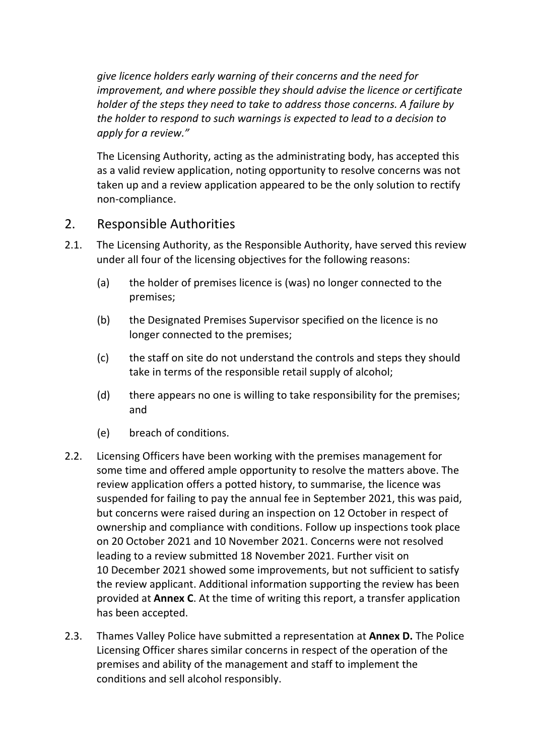*give licence holders early warning of their concerns and the need for improvement, and where possible they should advise the licence or certificate holder of the steps they need to take to address those concerns. A failure by the holder to respond to such warnings is expected to lead to a decision to apply for a review."*

The Licensing Authority, acting as the administrating body, has accepted this as a valid review application, noting opportunity to resolve concerns was not taken up and a review application appeared to be the only solution to rectify non-compliance.

## 2. Responsible Authorities

- 2.1. The Licensing Authority, as the Responsible Authority, have served this review under all four of the licensing objectives for the following reasons:
	- (a) the holder of premises licence is (was) no longer connected to the premises;
	- (b) the Designated Premises Supervisor specified on the licence is no longer connected to the premises;
	- (c) the staff on site do not understand the controls and steps they should take in terms of the responsible retail supply of alcohol;
	- (d) there appears no one is willing to take responsibility for the premises; and
	- (e) breach of conditions.
- 2.2. Licensing Officers have been working with the premises management for some time and offered ample opportunity to resolve the matters above. The review application offers a potted history, to summarise, the licence was suspended for failing to pay the annual fee in September 2021, this was paid, but concerns were raised during an inspection on 12 October in respect of ownership and compliance with conditions. Follow up inspections took place on 20 October 2021 and 10 November 2021. Concerns were not resolved leading to a review submitted 18 November 2021. Further visit on 10 December 2021 showed some improvements, but not sufficient to satisfy the review applicant. Additional information supporting the review has been provided at **Annex C**. At the time of writing this report, a transfer application has been accepted.
- 2.3. Thames Valley Police have submitted a representation at **Annex D.** The Police Licensing Officer shares similar concerns in respect of the operation of the premises and ability of the management and staff to implement the conditions and sell alcohol responsibly.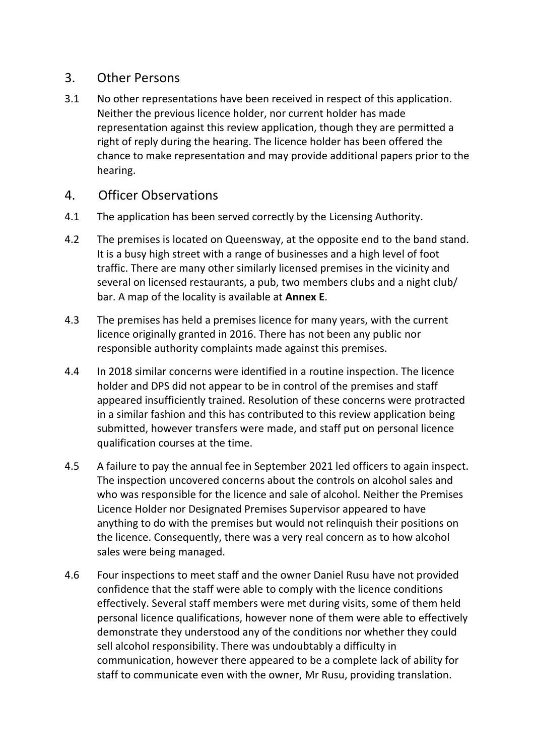#### 3. Other Persons

3.1 No other representations have been received in respect of this application. Neither the previous licence holder, nor current holder has made representation against this review application, though they are permitted a right of reply during the hearing. The licence holder has been offered the chance to make representation and may provide additional papers prior to the hearing.

## 4. Officer Observations

- 4.1The application has been served correctly by the Licensing Authority.
- 4.2 The premises is located on Queensway, at the opposite end to the band stand. It is a busy high street with a range of businesses and a high level of foot traffic. There are many other similarly licensed premises in the vicinity and several on licensed restaurants, a pub, two members clubs and a night club/ bar. A map of the locality is available at **Annex E**.
- 4.3 The premises has held a premises licence for many years, with the current licence originally granted in 2016. There has not been any public nor responsible authority complaints made against this premises.
- 4.4 In 2018 similar concerns were identified in a routine inspection. The licence holder and DPS did not appear to be in control of the premises and staff appeared insufficiently trained. Resolution of these concerns were protracted in a similar fashion and this has contributed to this review application being submitted, however transfers were made, and staff put on personal licence qualification courses at the time.
- 4.5 A failure to pay the annual fee in September 2021 led officers to again inspect. The inspection uncovered concerns about the controls on alcohol sales and who was responsible for the licence and sale of alcohol. Neither the Premises Licence Holder nor Designated Premises Supervisor appeared to have anything to do with the premises but would not relinquish their positions on the licence. Consequently, there was a very real concern as to how alcohol sales were being managed.
- 4.6 Four inspections to meet staff and the owner Daniel Rusu have not provided confidence that the staff were able to comply with the licence conditions effectively. Several staff members were met during visits, some of them held personal licence qualifications, however none of them were able to effectively demonstrate they understood any of the conditions nor whether they could sell alcohol responsibility. There was undoubtably a difficulty in communication, however there appeared to be a complete lack of ability for staff to communicate even with the owner, Mr Rusu, providing translation.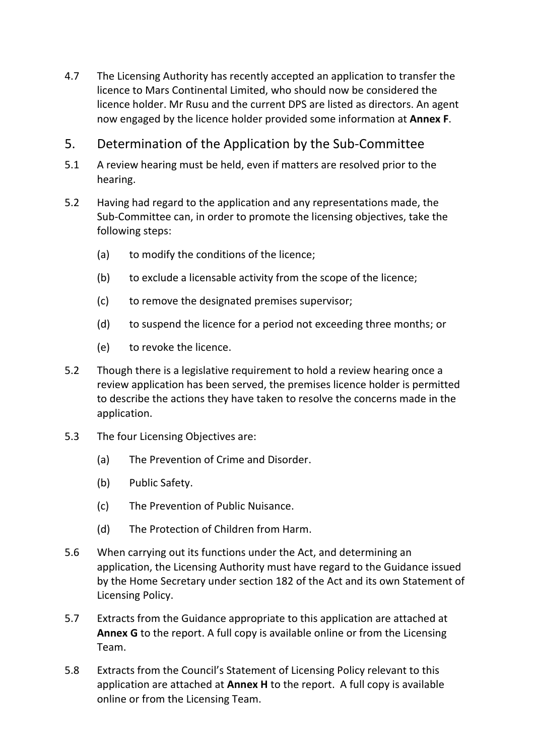- 4.7 The Licensing Authority has recently accepted an application to transfer the licence to Mars Continental Limited, who should now be considered the licence holder. Mr Rusu and the current DPS are listed as directors. An agent now engaged by the licence holder provided some information at **Annex F**.
- 5. Determination of the Application by the Sub-Committee
- 5.1 A review hearing must be held, even if matters are resolved prior to the hearing.
- 5.2 Having had regard to the application and any representations made, the Sub-Committee can, in order to promote the licensing objectives, take the following steps:
	- (a) to modify the conditions of the licence;
	- (b) to exclude a licensable activity from the scope of the licence;
	- (c) to remove the designated premises supervisor;
	- (d) to suspend the licence for a period not exceeding three months; or
	- (e) to revoke the licence.
- 5.2 Though there is a legislative requirement to hold a review hearing once a review application has been served, the premises licence holder is permitted to describe the actions they have taken to resolve the concerns made in the application.
- 5.3 The four Licensing Objectives are:
	- (a) The Prevention of Crime and Disorder.
	- (b) Public Safety.
	- (c) The Prevention of Public Nuisance.
	- (d) The Protection of Children from Harm.
- 5.6 When carrying out its functions under the Act, and determining an application, the Licensing Authority must have regard to the Guidance issued by the Home Secretary under section 182 of the Act and its own Statement of Licensing Policy.
- 5.7 Extracts from the Guidance appropriate to this application are attached at **Annex G** to the report. A full copy is available online or from the Licensing Team.
- 5.8 Extracts from the Council's Statement of Licensing Policy relevant to this application are attached at **Annex H** to the report. A full copy is available online or from the Licensing Team.